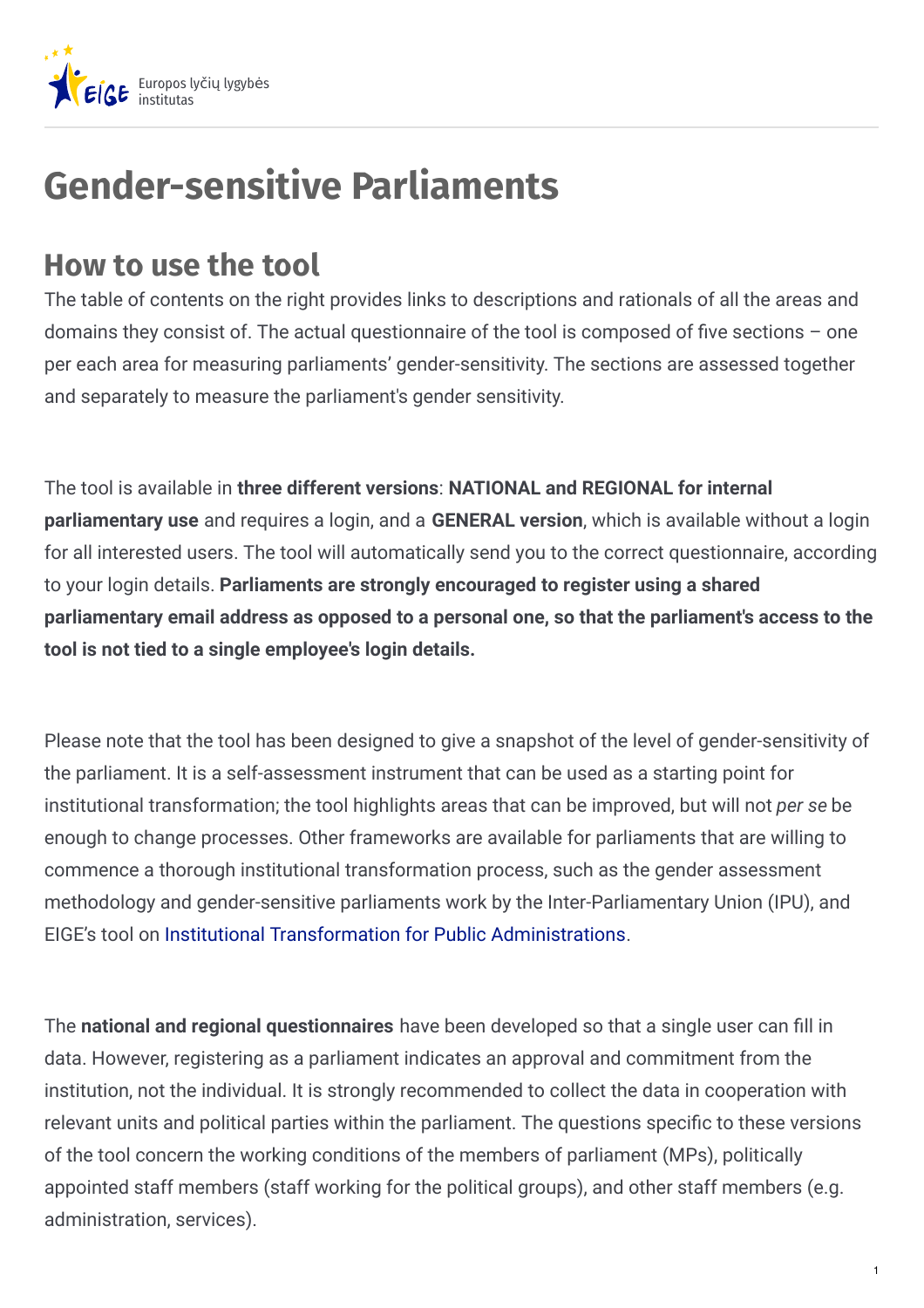

## **Gender-sensitive Parliaments**

## **How to use the tool**

The table of contents on the right provides links to descriptions and rationals of all the areas and domains they consist of. The actual questionnaire of the tool is composed of five sections  $-$  one per each area for measuring parliaments' gender-sensitivity. The sections are assessed together and separately to measure the parliament's gender sensitivity.

The tool is available in **three different versions**: **NATIONAL and REGIONAL for internal parliamentary use** and requires a login, and a **GENERAL version**, which is available without a login for all interested users. The tool will automatically send you to the correct questionnaire, according to your login details. **Parliaments are strongly encouraged to register using a shared parliamentary email address as opposed to a personal one, so that the parliament's access to the tool is not tied to a single employee's login details.**

Please note that the tool has been designed to give a snapshot of the level of gender-sensitivity of the parliament. It is a self-assessment instrument that can be used as a starting point for institutional transformation; the tool highlights areas that can be improved, but will not *per se* be enough to change processes. Other frameworks are available for parliaments that are willing to commence a thorough institutional transformation process, such as the gender assessment methodology and gender-sensitive parliaments work by the Inter-Parliamentary Union (IPU), and EIGE's tool on Institutional Transformation for Public [Administrations](https://eige.europa.eu/gender-mainstreaming/methods-tools/institutional-transformation).

The national and regional questionnaires have been developed so that a single user can fill in data. However, registering as a parliament indicates an approval and commitment from the institution, not the individual. It is strongly recommended to collect the data in cooperation with relevant units and political parties within the parliament. The questions specific to these versions of the tool concern the working conditions of the members of parliament (MPs), politically appointed staff members (staff working for the political groups), and other staff members (e.g. administration, services).